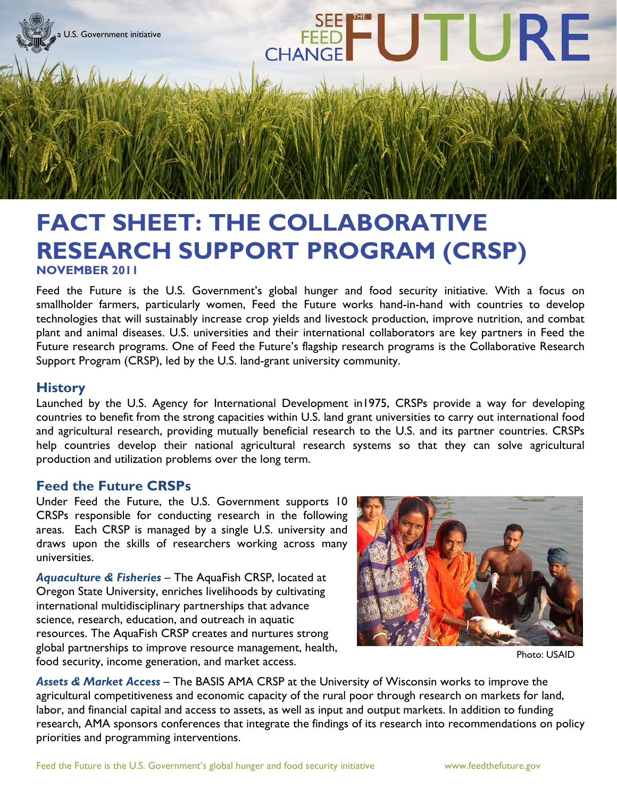

## **FACT SHEET: THE COLLABORATIVE RESEARCH SUPPORT PROGRAM (CRSP) NOVEMBER 2011**

Feed the Future is the U.S. Government's global hunger and food security initiative. With a focus on smallholder farmers, particularly women, Feed the Future works hand-in-hand with countries to develop technologies that will sustainably increase crop yields and livestock production, improve nutrition, and combat plant and animal diseases. U.S. universities and their international collaborators are key partners in Feed the Future research programs. One of Feed the Future's flagship research programs is the Collaborative Research Support Program (CRSP), led by the U.S. land-grant university community.

## **History**

Launched by the U.S. Agency for International Development in1975, CRSPs provide a way for developing countries to benefit from the strong capacities within U.S. land grant universities to carry out international food and agricultural research, providing mutually beneficial research to the U.S. and its partner countries. CRSPs help countries develop their national agricultural research systems so that they can solve agricultural production and utilization problems over the long term.

## **Feed the Future CRSPs**

Under Feed the Future, the U.S. Government supports 10 CRSPs responsible for conducting research in the following areas. Each CRSP is managed by a single U.S. university and draws upon the skills of researchers working across many universities.

*Aquaculture & Fisheries* – The AquaFish CRSP, located at Oregon State University, enriches livelihoods by cultivating international multidisciplinary partnerships that advance science, research, education, and outreach in aquatic resources. The AquaFish CRSP creates and nurtures strong global partnerships to improve resource management, health, food security, income generation, and market access.



Photo: USAID

*Assets & Market Access* – The BASIS AMA CRSP at the University of Wisconsin works to improve the agricultural competitiveness and economic capacity of the rural poor through research on markets for land, labor, and financial capital and access to assets, as well as input and output markets. In addition to funding research, AMA sponsors conferences that integrate the findings of its research into recommendations on policy priorities and programming interventions.